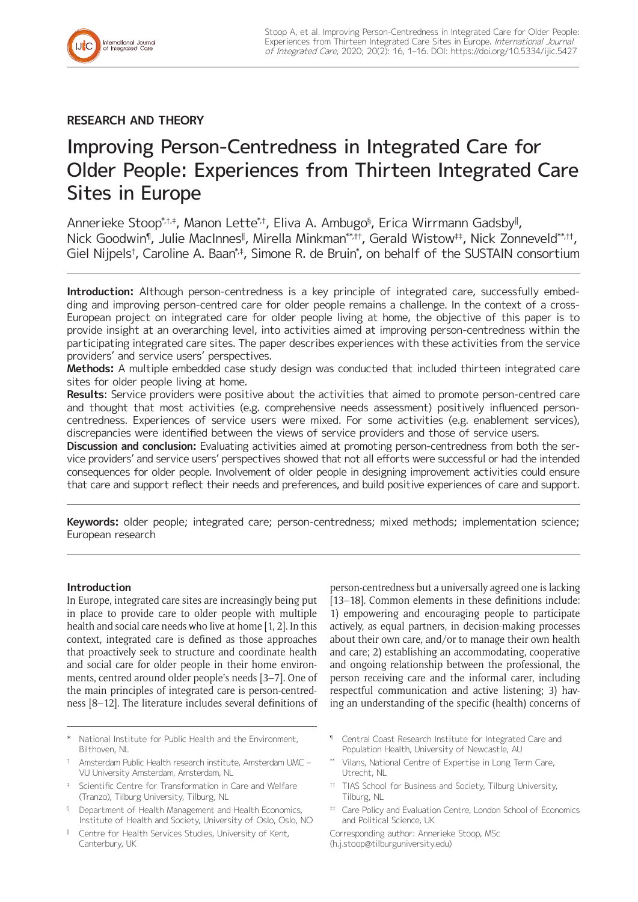## **RESEARCH AND THEORY**

# Improving Person-Centredness in Integrated Care for Older People: Experiences from Thirteen Integrated Care Sites in Europe

Annerieke Stoop\* $^{\!\star\!}$ t, Manon Lette $^{\!\star\!}$ t, Eliva A. Ambugo $^{\mathfrak{g}}$ , Erica Wirrmann Gadsby", Nick Goodwin¶, Julie MacInnes‖ , Mirella Minkman\*\*,††, Gerald Wistow‡‡, Nick Zonneveld\*\*,††, Giel Nijpels†, Caroline A. Baan\*‡, Simone R. de Bruin\*, on behalf of the SUSTAIN consortium

**Introduction:** Although person-centredness is a key principle of integrated care, successfully embedding and improving person-centred care for older people remains a challenge. In the context of a cross-European project on integrated care for older people living at home, the objective of this paper is to provide insight at an overarching level, into activities aimed at improving person-centredness within the participating integrated care sites. The paper describes experiences with these activities from the service providers' and service users' perspectives.

**Methods:** A multiple embedded case study design was conducted that included thirteen integrated care sites for older people living at home.

**Results**: Service providers were positive about the activities that aimed to promote person-centred care and thought that most activities (e.g. comprehensive needs assessment) positively influenced personcentredness. Experiences of service users were mixed. For some activities (e.g. enablement services), discrepancies were identified between the views of service providers and those of service users.

**Discussion and conclusion:** Evaluating activities aimed at promoting person-centredness from both the service providers' and service users' perspectives showed that not all efforts were successful or had the intended consequences for older people. Involvement of older people in designing improvement activities could ensure that care and support reflect their needs and preferences, and build positive experiences of care and support.

**Keywords:** older people; integrated care; person-centredness; mixed methods; implementation science; European research

## **Introduction**

In Europe, integrated care sites are increasingly being put in place to provide care to older people with multiple health and social care needs who live at home [1, 2]. In this context, integrated care is defined as those approaches that proactively seek to structure and coordinate health and social care for older people in their home environments, centred around older people's needs [3–7]. One of the main principles of integrated care is person-centredness [8–12]. The literature includes several definitions of

- National Institute for Public Health and the Environment, Bilthoven, NL
- † Amsterdam Public Health research institute, Amsterdam UMC VU University Amsterdam, Amsterdam, NL
- ‡ Scientific Centre for Transformation in Care and Welfare (Tranzo), Tilburg University, Tilburg, NL
- § Department of Health Management and Health Economics, Institute of Health and Society, University of Oslo, Oslo, NO
- Centre for Health Services Studies, University of Kent, Canterbury, UK

person-centredness but a universally agreed one is lacking [13–18]. Common elements in these definitions include: 1) empowering and encouraging people to participate actively, as equal partners, in decision-making processes about their own care, and/or to manage their own health and care; 2) establishing an accommodating, cooperative and ongoing relationship between the professional, the person receiving care and the informal carer, including respectful communication and active listening; 3) having an understanding of the specific (health) concerns of

- ¶ Central Coast Research Institute for Integrated Care and Population Health, University of Newcastle, AU
- Vilans, National Centre of Expertise in Long Term Care, Utrecht, NL
- †† TIAS School for Business and Society, Tilburg University, Tilburg, NL
- # Care Policy and Evaluation Centre, London School of Economics and Political Science, UK

Corresponding author: Annerieke Stoop, MSc ([h.j.stoop@tilburguniversity.edu](mailto:h.j.stoop@tilburguniversity.edu))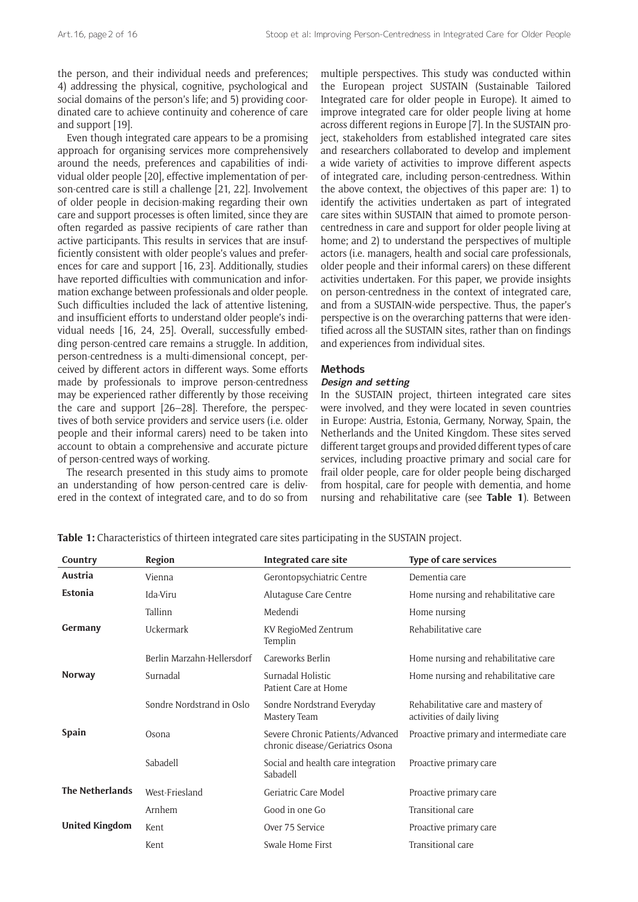the person, and their individual needs and preferences; 4) addressing the physical, cognitive, psychological and social domains of the person's life; and 5) providing coordinated care to achieve continuity and coherence of care and support [19].

Even though integrated care appears to be a promising approach for organising services more comprehensively around the needs, preferences and capabilities of individual older people [20], effective implementation of person-centred care is still a challenge [21, 22]. Involvement of older people in decision-making regarding their own care and support processes is often limited, since they are often regarded as passive recipients of care rather than active participants. This results in services that are insufficiently consistent with older people's values and preferences for care and support [16, 23]. Additionally, studies have reported difficulties with communication and information exchange between professionals and older people. Such difficulties included the lack of attentive listening, and insufficient efforts to understand older people's individual needs [16, 24, 25]. Overall, successfully embedding person-centred care remains a struggle. In addition, person-centredness is a multi-dimensional concept, perceived by different actors in different ways. Some efforts made by professionals to improve person-centredness may be experienced rather differently by those receiving the care and support [26–28]. Therefore, the perspectives of both service providers and service users (i.e. older people and their informal carers) need to be taken into account to obtain a comprehensive and accurate picture of person-centred ways of working.

The research presented in this study aims to promote an understanding of how person-centred care is delivered in the context of integrated care, and to do so from

multiple perspectives. This study was conducted within the European project SUSTAIN (Sustainable Tailored Integrated care for older people in Europe). It aimed to improve integrated care for older people living at home across different regions in Europe [7]. In the SUSTAIN project, stakeholders from established integrated care sites and researchers collaborated to develop and implement a wide variety of activities to improve different aspects of integrated care, including person-centredness. Within the above context, the objectives of this paper are: 1) to identify the activities undertaken as part of integrated care sites within SUSTAIN that aimed to promote personcentredness in care and support for older people living at home; and 2) to understand the perspectives of multiple actors (i.e. managers, health and social care professionals, older people and their informal carers) on these different activities undertaken. For this paper, we provide insights on person-centredness in the context of integrated care, and from a SUSTAIN-wide perspective. Thus, the paper's perspective is on the overarching patterns that were identified across all the SUSTAIN sites, rather than on findings and experiences from individual sites.

#### **Methods**

## **Design and setting**

In the SUSTAIN project, thirteen integrated care sites were involved, and they were located in seven countries in Europe: Austria, Estonia, Germany, Norway, Spain, the Netherlands and the United Kingdom. These sites served different target groups and provided different types of care services, including proactive primary and social care for frail older people, care for older people being discharged from hospital, care for people with dementia, and home nursing and rehabilitative care (see **Table 1**). Between

| Country                | Region                     | Integrated care site                                                 | Type of care services                                            |
|------------------------|----------------------------|----------------------------------------------------------------------|------------------------------------------------------------------|
| Austria                | Vienna                     | Gerontopsychiatric Centre                                            | Dementia care                                                    |
| <b>Estonia</b>         | Ida-Viru                   | Alutaguse Care Centre                                                | Home nursing and rehabilitative care                             |
|                        | Tallinn                    | Medendi                                                              | Home nursing                                                     |
| Germany                | Uckermark                  | KV RegioMed Zentrum<br>Templin                                       | Rehabilitative care                                              |
|                        | Berlin Marzahn-Hellersdorf | Careworks Berlin                                                     | Home nursing and rehabilitative care                             |
| <b>Norway</b>          | Surnadal                   | Surnadal Holistic<br>Patient Care at Home                            | Home nursing and rehabilitative care                             |
|                        | Søndre Nordstrand in Oslo  | Søndre Nordstrand Everyday<br>Mastery Team                           | Rehabilitative care and mastery of<br>activities of daily living |
| <b>Spain</b>           | Osona                      | Severe Chronic Patients/Advanced<br>chronic disease/Geriatrics Osona | Proactive primary and intermediate care                          |
|                        | Sabadell                   | Social and health care integration<br>Sabadell                       | Proactive primary care                                           |
| <b>The Netherlands</b> | West-Friesland             | Geriatric Care Model                                                 | Proactive primary care                                           |
|                        | Arnhem                     | Good in one Go                                                       | Transitional care                                                |
| <b>United Kingdom</b>  | Kent                       | Over 75 Service                                                      | Proactive primary care                                           |
|                        | Kent                       | Swale Home First                                                     | Transitional care                                                |

**Table 1:** Characteristics of thirteen integrated care sites participating in the SUSTAIN project.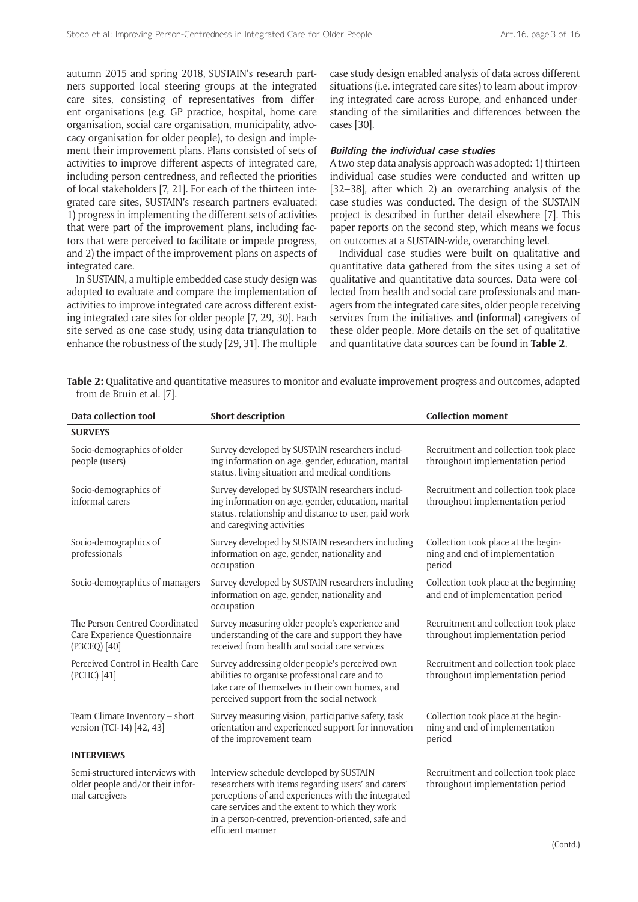autumn 2015 and spring 2018, SUSTAIN's research partners supported local steering groups at the integrated care sites, consisting of representatives from different organisations (e.g. GP practice, hospital, home care organisation, social care organisation, municipality, advocacy organisation for older people), to design and implement their improvement plans. Plans consisted of sets of activities to improve different aspects of integrated care, including person-centredness, and reflected the priorities of local stakeholders [7, 21]. For each of the thirteen integrated care sites, SUSTAIN's research partners evaluated: 1) progress in implementing the different sets of activities that were part of the improvement plans, including factors that were perceived to facilitate or impede progress, and 2) the impact of the improvement plans on aspects of integrated care.

In SUSTAIN, a multiple embedded case study design was adopted to evaluate and compare the implementation of activities to improve integrated care across different existing integrated care sites for older people [7, 29, 30]. Each site served as one case study, using data triangulation to enhance the robustness of the study [29, 31]. The multiple case study design enabled analysis of data across different situations (i.e. integrated care sites) to learn about improving integrated care across Europe, and enhanced understanding of the similarities and differences between the cases [30].

#### **Building the individual case studies**

A two-step data analysis approach was adopted: 1) thirteen individual case studies were conducted and written up [32–38], after which 2) an overarching analysis of the case studies was conducted. The design of the SUSTAIN project is described in further detail elsewhere [7]. This paper reports on the second step, which means we focus on outcomes at a SUSTAIN-wide, overarching level.

Individual case studies were built on qualitative and quantitative data gathered from the sites using a set of qualitative and quantitative data sources. Data were collected from health and social care professionals and managers from the integrated care sites, older people receiving services from the initiatives and (informal) caregivers of these older people. More details on the set of qualitative and quantitative data sources can be found in **Table 2**.

|                           | Table 2: Qualitative and quantitative measures to monitor and evaluate improvement progress and outcomes, adapted |  |  |
|---------------------------|-------------------------------------------------------------------------------------------------------------------|--|--|
| from de Bruin et al. [7]. |                                                                                                                   |  |  |

| Data collection tool                                                                  | <b>Short description</b>                                                                                                                                                                                                                                                          | <b>Collection moment</b>                                                        |  |
|---------------------------------------------------------------------------------------|-----------------------------------------------------------------------------------------------------------------------------------------------------------------------------------------------------------------------------------------------------------------------------------|---------------------------------------------------------------------------------|--|
| <b>SURVEYS</b>                                                                        |                                                                                                                                                                                                                                                                                   |                                                                                 |  |
| Socio-demographics of older<br>people (users)                                         | Survey developed by SUSTAIN researchers includ-<br>ing information on age, gender, education, marital<br>status, living situation and medical conditions                                                                                                                          | Recruitment and collection took place<br>throughout implementation period       |  |
| Socio-demographics of<br>informal carers                                              | Survey developed by SUSTAIN researchers includ-<br>ing information on age, gender, education, marital<br>status, relationship and distance to user, paid work<br>and caregiving activities                                                                                        | Recruitment and collection took place<br>throughout implementation period       |  |
| Socio-demographics of<br>professionals                                                | Survey developed by SUSTAIN researchers including<br>information on age, gender, nationality and<br>occupation                                                                                                                                                                    | Collection took place at the begin-<br>ning and end of implementation<br>period |  |
| Socio-demographics of managers                                                        | Survey developed by SUSTAIN researchers including<br>information on age, gender, nationality and<br>occupation                                                                                                                                                                    | Collection took place at the beginning<br>and end of implementation period      |  |
| The Person Centred Coordinated<br>Care Experience Questionnaire<br>(P3CEQ) [40]       | Survey measuring older people's experience and<br>understanding of the care and support they have<br>received from health and social care services                                                                                                                                | Recruitment and collection took place<br>throughout implementation period       |  |
| Perceived Control in Health Care<br>(PCHC) [41]                                       | Survey addressing older people's perceived own<br>abilities to organise professional care and to<br>take care of themselves in their own homes, and<br>perceived support from the social network                                                                                  | Recruitment and collection took place<br>throughout implementation period       |  |
| Team Climate Inventory - short<br>version (TCI-14) [42, 43]                           | Survey measuring vision, participative safety, task<br>orientation and experienced support for innovation<br>of the improvement team                                                                                                                                              | Collection took place at the begin-<br>ning and end of implementation<br>period |  |
| <b>INTERVIEWS</b>                                                                     |                                                                                                                                                                                                                                                                                   |                                                                                 |  |
| Semi-structured interviews with<br>older people and/or their infor-<br>mal caregivers | Interview schedule developed by SUSTAIN<br>researchers with items regarding users' and carers'<br>perceptions of and experiences with the integrated<br>care services and the extent to which they work<br>in a person-centred, prevention-oriented, safe and<br>efficient manner | Recruitment and collection took place<br>throughout implementation period       |  |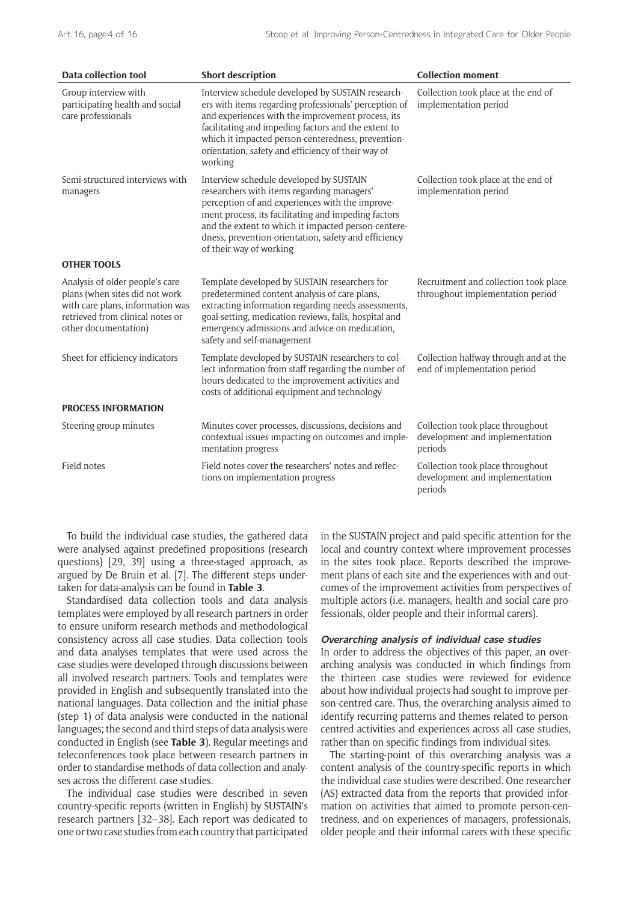| <b>Data collection tool</b>                                                                                                                                       | <b>Short description</b>                                                                                                                                                                                                                                                                                                                      | <b>Collection moment</b>                                                      |  |
|-------------------------------------------------------------------------------------------------------------------------------------------------------------------|-----------------------------------------------------------------------------------------------------------------------------------------------------------------------------------------------------------------------------------------------------------------------------------------------------------------------------------------------|-------------------------------------------------------------------------------|--|
| Group interview with<br>participating health and social<br>care professionals                                                                                     | Interview schedule developed by SUSTAIN research-<br>ers with items regarding professionals' perception of<br>and experiences with the improvement process, its<br>facilitating and impeding factors and the extent to<br>which it impacted person-centeredness, prevention-<br>orientation, safety and efficiency of their way of<br>working | Collection took place at the end of<br>implementation period                  |  |
| Semi-structured interviews with<br>managers                                                                                                                       | Interview schedule developed by SUSTAIN<br>researchers with items regarding managers'<br>perception of and experiences with the improve-<br>ment process, its facilitating and impeding factors<br>and the extent to which it impacted person-centere-<br>dness, prevention-orientation, safety and efficiency<br>of their way of working     | Collection took place at the end of<br>implementation period                  |  |
| <b>OTHER TOOLS</b>                                                                                                                                                |                                                                                                                                                                                                                                                                                                                                               |                                                                               |  |
| Analysis of older people's care<br>plans (when sites did not work<br>with care plans, information was<br>retrieved from clinical notes or<br>other documentation) | Template developed by SUSTAIN researchers for<br>predetermined content analysis of care plans,<br>extracting information regarding needs assessments,<br>goal-setting, medication reviews, falls, hospital and<br>emergency admissions and advice on medication,<br>safety and self-management                                                | Recruitment and collection took place<br>throughout implementation period     |  |
| Sheet for efficiency indicators                                                                                                                                   | Template developed by SUSTAIN researchers to col-<br>lect information from staff regarding the number of<br>hours dedicated to the improvement activities and<br>costs of additional equipment and technology                                                                                                                                 | Collection halfway through and at the<br>end of implementation period         |  |
| <b>PROCESS INFORMATION</b>                                                                                                                                        |                                                                                                                                                                                                                                                                                                                                               |                                                                               |  |
| Steering group minutes                                                                                                                                            | Minutes cover processes, discussions, decisions and<br>contextual issues impacting on outcomes and imple-<br>mentation progress                                                                                                                                                                                                               | Collection took place throughout<br>development and implementation<br>periods |  |
| Field notes                                                                                                                                                       | Field notes cover the researchers' notes and reflec-<br>tions on implementation progress                                                                                                                                                                                                                                                      | Collection took place throughout<br>development and implementation<br>periods |  |

To build the individual case studies, the gathered data were analysed against predefined propositions (research questions) [29, 39] using a three-staged approach, as argued by De Bruin et al. [7]. The different steps undertaken for data-analysis can be found in **Table 3**.

Standardised data collection tools and data analysis templates were employed by all research partners in order to ensure uniform research methods and methodological consistency across all case studies. Data collection tools and data analyses templates that were used across the case studies were developed through discussions between all involved research partners. Tools and templates were provided in English and subsequently translated into the national languages. Data collection and the initial phase (step 1) of data analysis were conducted in the national languages; the second and third steps of data analysis were conducted in English (see **Table 3**). Regular meetings and teleconferences took place between research partners in order to standardise methods of data collection and analyses across the different case studies.

The individual case studies were described in seven country-specific reports (written in English) by SUSTAIN's research partners [32–38]. Each report was dedicated to one or two case studies from each country that participated in the SUSTAIN project and paid specific attention for the local and country context where improvement processes in the sites took place. Reports described the improvement plans of each site and the experiences with and outcomes of the improvement activities from perspectives of multiple actors (i.e. managers, health and social care professionals, older people and their informal carers).

#### **Overarching analysis of individual case studies**

In order to address the objectives of this paper, an overarching analysis was conducted in which findings from the thirteen case studies were reviewed for evidence about how individual projects had sought to improve person-centred care. Thus, the overarching analysis aimed to identify recurring patterns and themes related to personcentred activities and experiences across all case studies, rather than on specific findings from individual sites.

The starting-point of this overarching analysis was a content analysis of the country-specific reports in which the individual case studies were described. One researcher (AS) extracted data from the reports that provided information on activities that aimed to promote person-centredness, and on experiences of managers, professionals, older people and their informal carers with these specific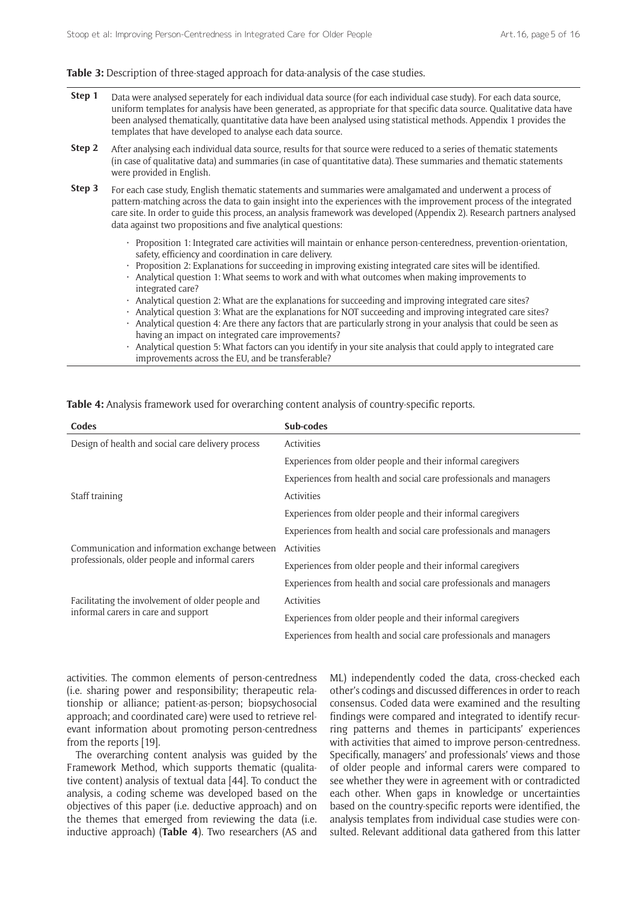#### Table 3: Description of three-staged approach for data-analysis of the case studies.

| Step 1 | Data were analysed seperately for each individual data source (for each individual case study). For each data source,<br>uniform templates for analysis have been generated, as appropriate for that specific data source. Qualitative data have<br>been analysed thematically, quantitative data have been analysed using statistical methods. Appendix 1 provides the<br>templates that have developed to analyse each data source. |
|--------|---------------------------------------------------------------------------------------------------------------------------------------------------------------------------------------------------------------------------------------------------------------------------------------------------------------------------------------------------------------------------------------------------------------------------------------|
| Step 2 | After analysing each individual data source, results for that source were reduced to a series of thematic statements<br>(in case of qualitative data) and summaries (in case of quantitative data). These summaries and thematic statements<br>were provided in English.                                                                                                                                                              |
| Step 3 | For each case study, English thematic statements and summaries were amalgamated and underwent a process of                                                                                                                                                                                                                                                                                                                            |

pattern-matching across the data to gain insight into the experiences with the improvement process of the integrated care site. In order to guide this process, an analysis framework was developed (Appendix 2). Research partners analysed data against two propositions and five analytical questions:

- • Proposition 1: Integrated care activities will maintain or enhance person-centeredness, prevention-orientation, safety, efficiency and coordination in care delivery.
- Proposition 2: Explanations for succeeding in improving existing integrated care sites will be identified.
- Analytical question 1: What seems to work and with what outcomes when making improvements to integrated care?
- Analytical question 2: What are the explanations for succeeding and improving integrated care sites?
- Analytical question 3: What are the explanations for NOT succeeding and improving integrated care sites?
- Analytical question 4: Are there any factors that are particularly strong in your analysis that could be seen as having an impact on integrated care improvements?
- Analytical question 5: What factors can you identify in your site analysis that could apply to integrated care improvements across the EU, and be transferable?

| Codes                                             | Sub-codes                                                          |  |  |
|---------------------------------------------------|--------------------------------------------------------------------|--|--|
| Design of health and social care delivery process | Activities                                                         |  |  |
|                                                   | Experiences from older people and their informal caregivers        |  |  |
|                                                   | Experiences from health and social care professionals and managers |  |  |
| Staff training                                    | Activities                                                         |  |  |
|                                                   | Experiences from older people and their informal caregivers        |  |  |
|                                                   | Experiences from health and social care professionals and managers |  |  |
| Communication and information exchange between    | Activities                                                         |  |  |
| professionals, older people and informal carers   | Experiences from older people and their informal caregivers        |  |  |
|                                                   | Experiences from health and social care professionals and managers |  |  |
| Facilitating the involvement of older people and  | Activities                                                         |  |  |
| informal carers in care and support               | Experiences from older people and their informal caregivers        |  |  |
|                                                   | Experiences from health and social care professionals and managers |  |  |

**Table 4:** Analysis framework used for overarching content analysis of country-specific reports.

activities. The common elements of person-centredness (i.e. sharing power and responsibility; therapeutic relationship or alliance; patient-as-person; biopsychosocial approach; and coordinated care) were used to retrieve relevant information about promoting person-centredness from the reports [19].

The overarching content analysis was guided by the Framework Method, which supports thematic (qualitative content) analysis of textual data [44]. To conduct the analysis, a coding scheme was developed based on the objectives of this paper (i.e. deductive approach) and on the themes that emerged from reviewing the data (i.e. inductive approach) (**Table 4**). Two researchers (AS and ML) independently coded the data, cross-checked each other's codings and discussed differences in order to reach consensus. Coded data were examined and the resulting findings were compared and integrated to identify recurring patterns and themes in participants' experiences with activities that aimed to improve person-centredness. Specifically, managers' and professionals' views and those of older people and informal carers were compared to see whether they were in agreement with or contradicted each other. When gaps in knowledge or uncertainties based on the country-specific reports were identified, the analysis templates from individual case studies were consulted. Relevant additional data gathered from this latter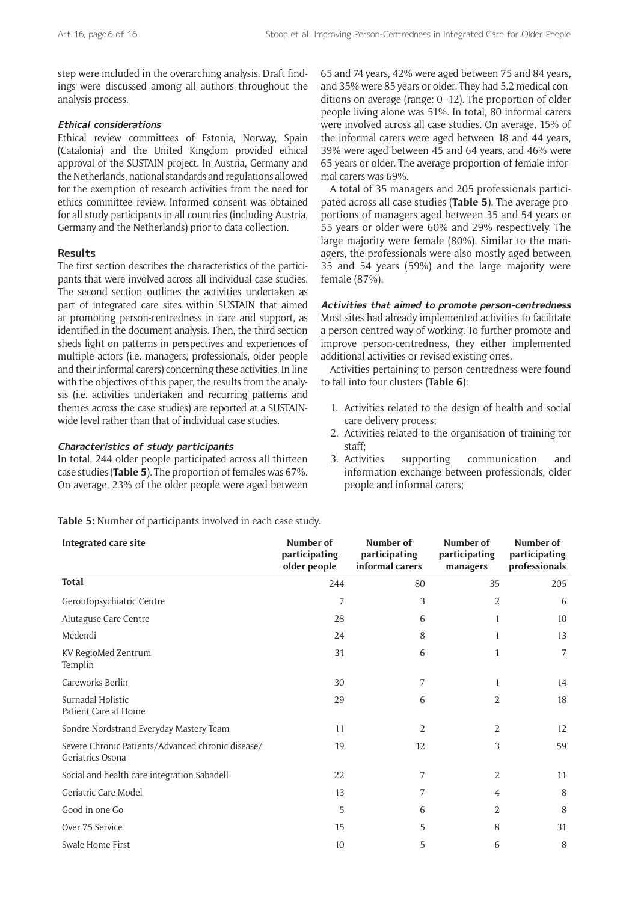step were included in the overarching analysis. Draft findings were discussed among all authors throughout the analysis process.

## **Ethical considerations**

Ethical review committees of Estonia, Norway, Spain (Catalonia) and the United Kingdom provided ethical approval of the SUSTAIN project. In Austria, Germany and the Netherlands, national standards and regulations allowed for the exemption of research activities from the need for ethics committee review. Informed consent was obtained for all study participants in all countries (including Austria, Germany and the Netherlands) prior to data collection.

## **Results**

The first section describes the characteristics of the participants that were involved across all individual case studies. The second section outlines the activities undertaken as part of integrated care sites within SUSTAIN that aimed at promoting person-centredness in care and support, as identified in the document analysis. Then, the third section sheds light on patterns in perspectives and experiences of multiple actors (i.e. managers, professionals, older people and their informal carers) concerning these activities. In line with the objectives of this paper, the results from the analysis (i.e. activities undertaken and recurring patterns and themes across the case studies) are reported at a SUSTAINwide level rather than that of individual case studies.

## **Characteristics of study participants**

In total, 244 older people participated across all thirteen case studies (**Table 5**). The proportion of females was 67%. On average, 23% of the older people were aged between 65 and 74 years, 42% were aged between 75 and 84 years, and 35% were 85 years or older. They had 5.2 medical conditions on average (range: 0–12). The proportion of older people living alone was 51%. In total, 80 informal carers were involved across all case studies. On average, 15% of the informal carers were aged between 18 and 44 years, 39% were aged between 45 and 64 years, and 46% were 65 years or older. The average proportion of female informal carers was 69%.

A total of 35 managers and 205 professionals participated across all case studies (**Table 5**). The average proportions of managers aged between 35 and 54 years or 55 years or older were 60% and 29% respectively. The large majority were female (80%). Similar to the managers, the professionals were also mostly aged between 35 and 54 years (59%) and the large majority were female (87%).

**Activities that aimed to promote person-centredness** Most sites had already implemented activities to facilitate a person-centred way of working. To further promote and improve person-centredness, they either implemented additional activities or revised existing ones.

Activities pertaining to person-centredness were found to fall into four clusters (**Table 6**):

- 1. Activities related to the design of health and social care delivery process;
- 2. Activities related to the organisation of training for staff;
- 3. Activities supporting communication and information exchange between professionals, older people and informal carers;

**Table 5:** Number of participants involved in each case study.

| Integrated care site                                                  | Number of<br>participating<br>older people | Number of<br>participating<br>informal carers | Number of<br>participating<br>managers | Number of<br>participating<br>professionals |
|-----------------------------------------------------------------------|--------------------------------------------|-----------------------------------------------|----------------------------------------|---------------------------------------------|
| <b>Total</b>                                                          | 244                                        | 80                                            | 35                                     | 205                                         |
| Gerontopsychiatric Centre                                             | 7                                          | 3                                             | 2                                      | 6                                           |
| Alutaguse Care Centre                                                 | 28                                         | 6                                             | 1                                      | 10                                          |
| Medendi                                                               | 24                                         | 8                                             | 1                                      | 13                                          |
| KV RegioMed Zentrum<br>Templin                                        | 31                                         | 6                                             | 1                                      | 7                                           |
| Careworks Berlin                                                      | 30                                         | 7                                             | 1                                      | 14                                          |
| Surnadal Holistic<br>Patient Care at Home                             | 29                                         | 6                                             | 2                                      | 18                                          |
| Søndre Nordstrand Everyday Mastery Team                               | 11                                         | 2                                             | 2                                      | 12                                          |
| Severe Chronic Patients/Advanced chronic disease/<br>Geriatrics Osona | 19                                         | 12                                            | 3                                      | 59                                          |
| Social and health care integration Sabadell                           | 22                                         | 7                                             | 2                                      | 11                                          |
| Geriatric Care Model                                                  | 13                                         | 7                                             | 4                                      | 8                                           |
| Good in one Go                                                        | 5                                          | 6                                             | 2                                      | 8                                           |
| Over 75 Service                                                       | 15                                         | 5                                             | 8                                      | 31                                          |
| Swale Home First                                                      | 10                                         | 5                                             | 6                                      | 8                                           |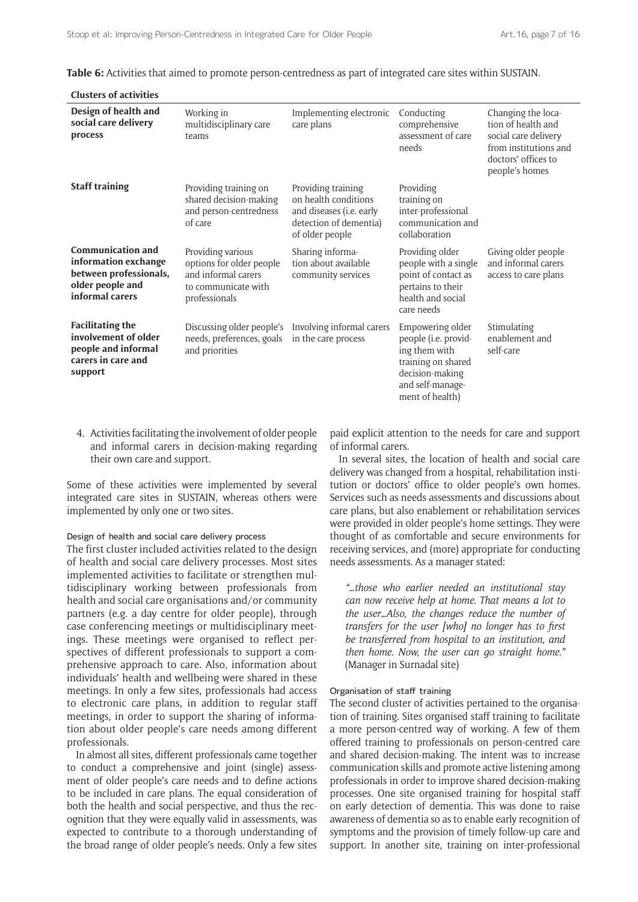| <b>Clusters of activities</b>                                                                                     |                                                                                                              |                                                                                                                     |                                                                                                                                           |                                                                                                                                    |
|-------------------------------------------------------------------------------------------------------------------|--------------------------------------------------------------------------------------------------------------|---------------------------------------------------------------------------------------------------------------------|-------------------------------------------------------------------------------------------------------------------------------------------|------------------------------------------------------------------------------------------------------------------------------------|
| Design of health and<br>social care delivery<br>process                                                           | Working in<br>multidisciplinary care<br>teams                                                                | Implementing electronic<br>care plans                                                                               | Conducting<br>comprehensive<br>assessment of care<br>needs                                                                                | Changing the loca-<br>tion of health and<br>social care delivery<br>from institutions and<br>doctors' offices to<br>people's homes |
| <b>Staff training</b>                                                                                             | Providing training on<br>shared decision-making<br>and person-centredness<br>of care                         | Providing training<br>on health conditions<br>and diseases (i.e. early<br>detection of dementia)<br>of older people | Providing<br>training on<br>inter-professional<br>communication and<br>collaboration                                                      |                                                                                                                                    |
| <b>Communication and</b><br>information exchange<br>between professionals,<br>older people and<br>informal carers | Providing various<br>options for older people<br>and informal carers<br>to communicate with<br>professionals | Sharing informa-<br>tion about available<br>community services                                                      | Providing older<br>people with a single<br>point of contact as<br>pertains to their<br>health and social<br>care needs                    | Giving older people<br>and informal carers<br>access to care plans                                                                 |
| <b>Facilitating the</b><br>involvement of older<br>people and informal<br>carers in care and<br>support           | Discussing older people's<br>needs, preferences, goals<br>and priorities                                     | Involving informal carers<br>in the care process                                                                    | Empowering older<br>people (i.e. provid-<br>ing them with<br>training on shared<br>decision-making<br>and self-manage-<br>ment of health) | Stimulating<br>enablement and<br>self-care                                                                                         |

**Table 6:** Activities that aimed to promote person-centredness as part of integrated care sites within SUSTAIN.

4. Activities facilitating the involvement of older people and informal carers in decision-making regarding their own care and support.

Some of these activities were implemented by several integrated care sites in SUSTAIN, whereas others were implemented by only one or two sites.

#### Design of health and social care delivery process

The first cluster included activities related to the design of health and social care delivery processes. Most sites implemented activities to facilitate or strengthen multidisciplinary working between professionals from health and social care organisations and/or community partners (e.g. a day centre for older people), through case conferencing meetings or multidisciplinary meetings. These meetings were organised to reflect perspectives of different professionals to support a comprehensive approach to care. Also, information about individuals' health and wellbeing were shared in these meetings. In only a few sites, professionals had access to electronic care plans, in addition to regular staff meetings, in order to support the sharing of information about older people's care needs among different professionals.

In almost all sites, different professionals came together to conduct a comprehensive and joint (single) assessment of older people's care needs and to define actions to be included in care plans. The equal consideration of both the health and social perspective, and thus the recognition that they were equally valid in assessments, was expected to contribute to a thorough understanding of the broad range of older people's needs. Only a few sites paid explicit attention to the needs for care and support of informal carers.

In several sites, the location of health and social care delivery was changed from a hospital, rehabilitation institution or doctors' office to older people's own homes. Services such as needs assessments and discussions about care plans, but also enablement or rehabilitation services were provided in older people's home settings. They were thought of as comfortable and secure environments for receiving services, and (more) appropriate for conducting needs assessments. As a manager stated:

*"…those who earlier needed an institutional stay can now receive help at home. That means a lot to the user…Also, the changes reduce the number of transfers for the user [who] no longer has to first be transferred from hospital to an institution, and then home. Now, the user can go straight home."*  (Manager in Surnadal site)

#### Organisation of staff training

The second cluster of activities pertained to the organisation of training. Sites organised staff training to facilitate a more person-centred way of working. A few of them offered training to professionals on person-centred care and shared decision-making. The intent was to increase communication skills and promote active listening among professionals in order to improve shared decision-making processes. One site organised training for hospital staff on early detection of dementia. This was done to raise awareness of dementia so as to enable early recognition of symptoms and the provision of timely follow-up care and support. In another site, training on inter-professional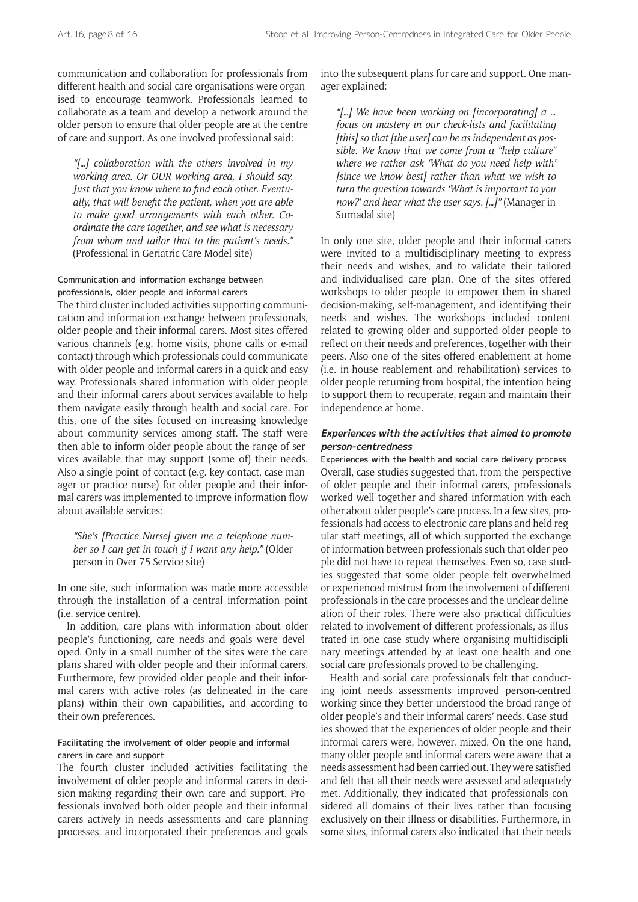communication and collaboration for professionals from different health and social care organisations were organised to encourage teamwork. Professionals learned to collaborate as a team and develop a network around the older person to ensure that older people are at the centre of care and support. As one involved professional said:

*"[…] collaboration with the others involved in my working area. Or OUR working area, I should say. Just that you know where to find each other. Eventually, that will benefit the patient, when you are able to make good arrangements with each other. Coordinate the care together, and see what is necessary from whom and tailor that to the patient's needs."*  (Professional in Geriatric Care Model site)

## Communication and information exchange between professionals, older people and informal carers

The third cluster included activities supporting communication and information exchange between professionals, older people and their informal carers. Most sites offered various channels (e.g. home visits, phone calls or e-mail contact) through which professionals could communicate with older people and informal carers in a quick and easy way. Professionals shared information with older people and their informal carers about services available to help them navigate easily through health and social care. For this, one of the sites focused on increasing knowledge about community services among staff. The staff were then able to inform older people about the range of services available that may support (some of) their needs. Also a single point of contact (e.g. key contact, case manager or practice nurse) for older people and their informal carers was implemented to improve information flow about available services:

*"She's [Practice Nurse] given me a telephone number so I can get in touch if I want any help."* (Older person in Over 75 Service site)

In one site, such information was made more accessible through the installation of a central information point (i.e. service centre).

In addition, care plans with information about older people's functioning, care needs and goals were developed. Only in a small number of the sites were the care plans shared with older people and their informal carers. Furthermore, few provided older people and their informal carers with active roles (as delineated in the care plans) within their own capabilities, and according to their own preferences.

## Facilitating the involvement of older people and informal carers in care and support

The fourth cluster included activities facilitating the involvement of older people and informal carers in decision-making regarding their own care and support. Professionals involved both older people and their informal carers actively in needs assessments and care planning processes, and incorporated their preferences and goals into the subsequent plans for care and support. One manager explained:

*"[…] We have been working on [incorporating] a … focus on mastery in our check-lists and facilitating [this] so that [the user] can be as independent as possible. We know that we come from a "help culture" where we rather ask 'What do you need help with' [since we know best] rather than what we wish to turn the question towards 'What is important to you now?' and hear what the user says. […]"* (Manager in Surnadal site)

In only one site, older people and their informal carers were invited to a multidisciplinary meeting to express their needs and wishes, and to validate their tailored and individualised care plan. One of the sites offered workshops to older people to empower them in shared decision-making, self-management, and identifying their needs and wishes. The workshops included content related to growing older and supported older people to reflect on their needs and preferences, together with their peers. Also one of the sites offered enablement at home (i.e. in-house reablement and rehabilitation) services to older people returning from hospital, the intention being to support them to recuperate, regain and maintain their independence at home.

## **Experiences with the activities that aimed to promote person-centredness**

Experiences with the health and social care delivery process Overall, case studies suggested that, from the perspective of older people and their informal carers, professionals worked well together and shared information with each other about older people's care process. In a few sites, professionals had access to electronic care plans and held regular staff meetings, all of which supported the exchange of information between professionals such that older people did not have to repeat themselves. Even so, case studies suggested that some older people felt overwhelmed or experienced mistrust from the involvement of different professionals in the care processes and the unclear delineation of their roles. There were also practical difficulties related to involvement of different professionals, as illustrated in one case study where organising multidisciplinary meetings attended by at least one health and one social care professionals proved to be challenging.

Health and social care professionals felt that conducting joint needs assessments improved person-centred working since they better understood the broad range of older people's and their informal carers' needs. Case studies showed that the experiences of older people and their informal carers were, however, mixed. On the one hand, many older people and informal carers were aware that a needs assessment had been carried out. They were satisfied and felt that all their needs were assessed and adequately met. Additionally, they indicated that professionals considered all domains of their lives rather than focusing exclusively on their illness or disabilities. Furthermore, in some sites, informal carers also indicated that their needs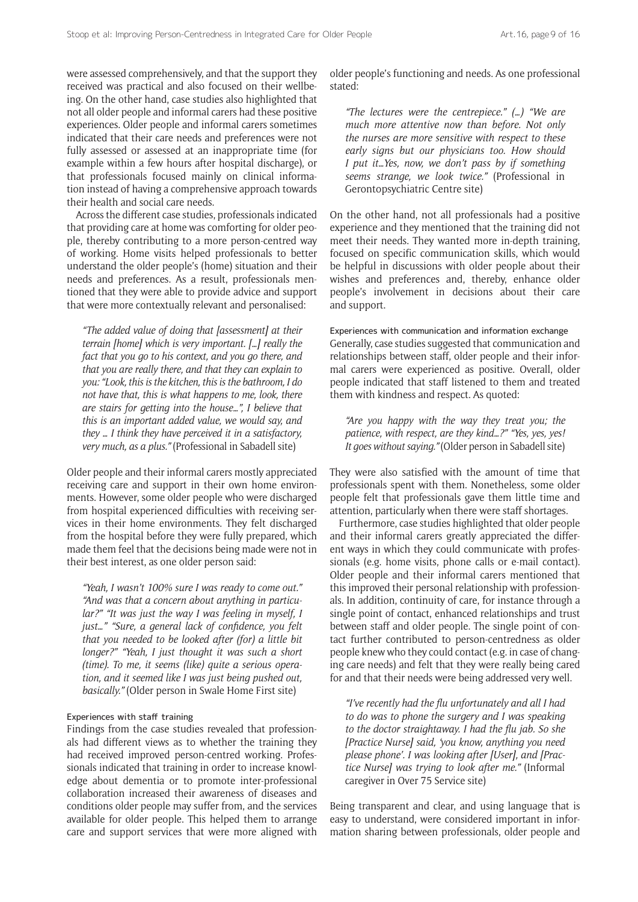were assessed comprehensively, and that the support they received was practical and also focused on their wellbeing. On the other hand, case studies also highlighted that not all older people and informal carers had these positive experiences. Older people and informal carers sometimes indicated that their care needs and preferences were not fully assessed or assessed at an inappropriate time (for example within a few hours after hospital discharge), or that professionals focused mainly on clinical information instead of having a comprehensive approach towards their health and social care needs.

Across the different case studies, professionals indicated that providing care at home was comforting for older people, thereby contributing to a more person-centred way of working. Home visits helped professionals to better understand the older people's (home) situation and their needs and preferences. As a result, professionals mentioned that they were able to provide advice and support that were more contextually relevant and personalised:

*"The added value of doing that [assessment] at their terrain [home] which is very important. […] really the fact that you go to his context, and you go there, and that you are really there, and that they can explain to you: "Look, this is the kitchen, this is the bathroom, I do not have that, this is what happens to me, look, there are stairs for getting into the house…", I believe that this is an important added value, we would say, and they … I think they have perceived it in a satisfactory, very much, as a plus."* (Professional in Sabadell site)

Older people and their informal carers mostly appreciated receiving care and support in their own home environments. However, some older people who were discharged from hospital experienced difficulties with receiving services in their home environments. They felt discharged from the hospital before they were fully prepared, which made them feel that the decisions being made were not in their best interest, as one older person said:

*"Yeah, I wasn't 100% sure I was ready to come out." "And was that a concern about anything in particular?" "It was just the way I was feeling in myself, I just…" "Sure, a general lack of confidence, you felt that you needed to be looked after (for) a little bit longer?" "Yeah, I just thought it was such a short (time). To me, it seems (like) quite a serious operation, and it seemed like I was just being pushed out, basically."* (Older person in Swale Home First site)

#### Experiences with staff training

Findings from the case studies revealed that professionals had different views as to whether the training they had received improved person-centred working. Professionals indicated that training in order to increase knowledge about dementia or to promote inter-professional collaboration increased their awareness of diseases and conditions older people may suffer from, and the services available for older people. This helped them to arrange care and support services that were more aligned with

older people's functioning and needs. As one professional stated:

*"The lectures were the centrepiece." (…) "We are much more attentive now than before. Not only the nurses are more sensitive with respect to these early signs but our physicians too. How should I put it…Yes, now, we don't pass by if something seems strange, we look twice."* (Professional in Gerontopsychiatric Centre site)

On the other hand, not all professionals had a positive experience and they mentioned that the training did not meet their needs. They wanted more in-depth training, focused on specific communication skills, which would be helpful in discussions with older people about their wishes and preferences and, thereby, enhance older people's involvement in decisions about their care and support.

Experiences with communication and information exchange Generally, case studies suggested that communication and relationships between staff, older people and their informal carers were experienced as positive. Overall, older people indicated that staff listened to them and treated them with kindness and respect. As quoted:

*"Are you happy with the way they treat you; the patience, with respect, are they kind…?" "Yes, yes, yes! It goes without saying."* (Older person in Sabadell site)

They were also satisfied with the amount of time that professionals spent with them. Nonetheless, some older people felt that professionals gave them little time and attention, particularly when there were staff shortages.

Furthermore, case studies highlighted that older people and their informal carers greatly appreciated the different ways in which they could communicate with professionals (e.g. home visits, phone calls or e-mail contact). Older people and their informal carers mentioned that this improved their personal relationship with professionals. In addition, continuity of care, for instance through a single point of contact, enhanced relationships and trust between staff and older people. The single point of contact further contributed to person-centredness as older people knew who they could contact (e.g. in case of changing care needs) and felt that they were really being cared for and that their needs were being addressed very well.

*"I've recently had the flu unfortunately and all I had to do was to phone the surgery and I was speaking to the doctor straightaway. I had the flu jab. So she [Practice Nurse] said, 'you know, anything you need please phone'. I was looking after [User], and [Practice Nurse] was trying to look after me."* (Informal caregiver in Over 75 Service site)

Being transparent and clear, and using language that is easy to understand, were considered important in information sharing between professionals, older people and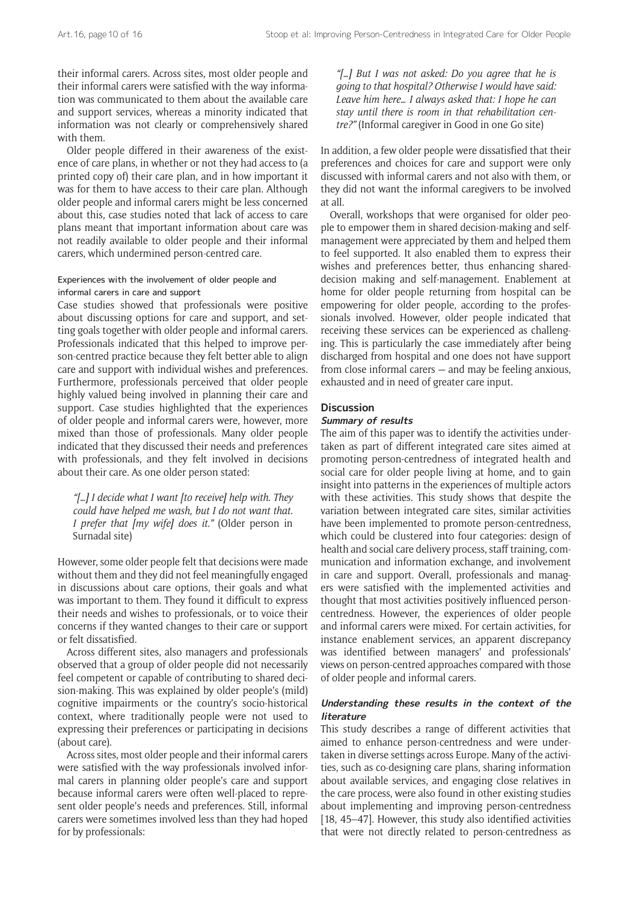their informal carers. Across sites, most older people and their informal carers were satisfied with the way information was communicated to them about the available care and support services, whereas a minority indicated that information was not clearly or comprehensively shared with them.

Older people differed in their awareness of the existence of care plans, in whether or not they had access to (a printed copy of) their care plan, and in how important it was for them to have access to their care plan. Although older people and informal carers might be less concerned about this, case studies noted that lack of access to care plans meant that important information about care was not readily available to older people and their informal carers, which undermined person-centred care.

## Experiences with the involvement of older people and informal carers in care and support

Case studies showed that professionals were positive about discussing options for care and support, and setting goals together with older people and informal carers. Professionals indicated that this helped to improve person-centred practice because they felt better able to align care and support with individual wishes and preferences. Furthermore, professionals perceived that older people highly valued being involved in planning their care and support. Case studies highlighted that the experiences of older people and informal carers were, however, more mixed than those of professionals. Many older people indicated that they discussed their needs and preferences with professionals, and they felt involved in decisions about their care. As one older person stated:

*"[…] I decide what I want [to receive] help with. They could have helped me wash, but I do not want that. I prefer that [my wife] does it."* (Older person in Surnadal site)

However, some older people felt that decisions were made without them and they did not feel meaningfully engaged in discussions about care options, their goals and what was important to them. They found it difficult to express their needs and wishes to professionals, or to voice their concerns if they wanted changes to their care or support or felt dissatisfied.

Across different sites, also managers and professionals observed that a group of older people did not necessarily feel competent or capable of contributing to shared decision-making. This was explained by older people's (mild) cognitive impairments or the country's socio-historical context, where traditionally people were not used to expressing their preferences or participating in decisions (about care).

Across sites, most older people and their informal carers were satisfied with the way professionals involved informal carers in planning older people's care and support because informal carers were often well-placed to represent older people's needs and preferences. Still, informal carers were sometimes involved less than they had hoped for by professionals:

*"[…] But I was not asked: Do you agree that he is going to that hospital? Otherwise I would have said: Leave him here… I always asked that: I hope he can stay until there is room in that rehabilitation centre?"* (Informal caregiver in Good in one Go site)

In addition, a few older people were dissatisfied that their preferences and choices for care and support were only discussed with informal carers and not also with them, or they did not want the informal caregivers to be involved at all.

Overall, workshops that were organised for older people to empower them in shared decision-making and selfmanagement were appreciated by them and helped them to feel supported. It also enabled them to express their wishes and preferences better, thus enhancing shareddecision making and self-management. Enablement at home for older people returning from hospital can be empowering for older people, according to the professionals involved. However, older people indicated that receiving these services can be experienced as challenging. This is particularly the case immediately after being discharged from hospital and one does not have support from close informal carers — and may be feeling anxious, exhausted and in need of greater care input.

### **Discussion**

### **Summary of results**

The aim of this paper was to identify the activities undertaken as part of different integrated care sites aimed at promoting person-centredness of integrated health and social care for older people living at home, and to gain insight into patterns in the experiences of multiple actors with these activities. This study shows that despite the variation between integrated care sites, similar activities have been implemented to promote person-centredness, which could be clustered into four categories: design of health and social care delivery process, staff training, communication and information exchange, and involvement in care and support. Overall, professionals and managers were satisfied with the implemented activities and thought that most activities positively influenced personcentredness. However, the experiences of older people and informal carers were mixed. For certain activities, for instance enablement services, an apparent discrepancy was identified between managers' and professionals' views on person-centred approaches compared with those of older people and informal carers.

## **Understanding these results in the context of the literature**

This study describes a range of different activities that aimed to enhance person-centredness and were undertaken in diverse settings across Europe. Many of the activities, such as co-designing care plans, sharing information about available services, and engaging close relatives in the care process, were also found in other existing studies about implementing and improving person-centredness [18, 45–47]. However, this study also identified activities that were not directly related to person-centredness as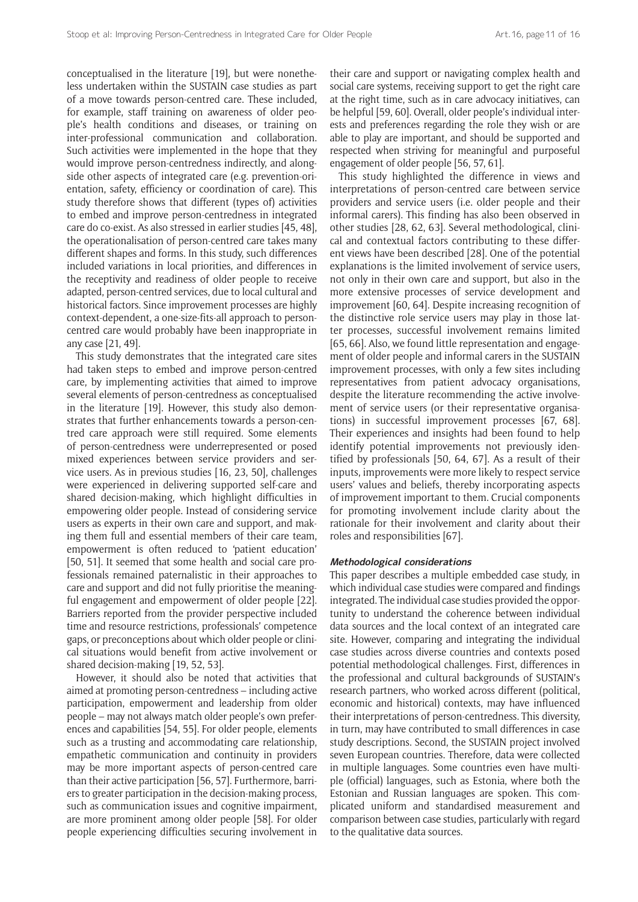conceptualised in the literature [19], but were nonetheless undertaken within the SUSTAIN case studies as part of a move towards person-centred care. These included, for example, staff training on awareness of older people's health conditions and diseases, or training on inter-professional communication and collaboration. Such activities were implemented in the hope that they would improve person-centredness indirectly, and alongside other aspects of integrated care (e.g. prevention-orientation, safety, efficiency or coordination of care). This study therefore shows that different (types of) activities to embed and improve person-centredness in integrated care do co-exist. As also stressed in earlier studies [45, 48], the operationalisation of person-centred care takes many different shapes and forms. In this study, such differences included variations in local priorities, and differences in the receptivity and readiness of older people to receive adapted, person-centred services, due to local cultural and historical factors. Since improvement processes are highly context-dependent, a one-size-fits-all approach to personcentred care would probably have been inappropriate in any case [21, 49].

This study demonstrates that the integrated care sites had taken steps to embed and improve person-centred care, by implementing activities that aimed to improve several elements of person-centredness as conceptualised in the literature [19]. However, this study also demonstrates that further enhancements towards a person-centred care approach were still required. Some elements of person-centredness were underrepresented or posed mixed experiences between service providers and service users. As in previous studies [16, 23, 50], challenges were experienced in delivering supported self-care and shared decision-making, which highlight difficulties in empowering older people. Instead of considering service users as experts in their own care and support, and making them full and essential members of their care team, empowerment is often reduced to 'patient education' [50, 51]. It seemed that some health and social care professionals remained paternalistic in their approaches to care and support and did not fully prioritise the meaningful engagement and empowerment of older people [22]. Barriers reported from the provider perspective included time and resource restrictions, professionals' competence gaps, or preconceptions about which older people or clinical situations would benefit from active involvement or shared decision-making [19, 52, 53].

However, it should also be noted that activities that aimed at promoting person-centredness – including active participation, empowerment and leadership from older people – may not always match older people's own preferences and capabilities [54, 55]. For older people, elements such as a trusting and accommodating care relationship, empathetic communication and continuity in providers may be more important aspects of person-centred care than their active participation [56, 57]. Furthermore, barriers to greater participation in the decision-making process, such as communication issues and cognitive impairment, are more prominent among older people [58]. For older people experiencing difficulties securing involvement in their care and support or navigating complex health and social care systems, receiving support to get the right care at the right time, such as in care advocacy initiatives, can be helpful [59, 60]. Overall, older people's individual interests and preferences regarding the role they wish or are able to play are important, and should be supported and respected when striving for meaningful and purposeful engagement of older people [56, 57, 61].

This study highlighted the difference in views and interpretations of person-centred care between service providers and service users (i.e. older people and their informal carers). This finding has also been observed in other studies [28, 62, 63]. Several methodological, clinical and contextual factors contributing to these different views have been described [28]. One of the potential explanations is the limited involvement of service users, not only in their own care and support, but also in the more extensive processes of service development and improvement [60, 64]. Despite increasing recognition of the distinctive role service users may play in those latter processes, successful involvement remains limited [65, 66]. Also, we found little representation and engagement of older people and informal carers in the SUSTAIN improvement processes, with only a few sites including representatives from patient advocacy organisations, despite the literature recommending the active involvement of service users (or their representative organisations) in successful improvement processes [67, 68]. Their experiences and insights had been found to help identify potential improvements not previously identified by professionals [50, 64, 67]. As a result of their inputs, improvements were more likely to respect service users' values and beliefs, thereby incorporating aspects of improvement important to them. Crucial components for promoting involvement include clarity about the rationale for their involvement and clarity about their roles and responsibilities [67].

#### **Methodological considerations**

This paper describes a multiple embedded case study, in which individual case studies were compared and findings integrated. The individual case studies provided the opportunity to understand the coherence between individual data sources and the local context of an integrated care site. However, comparing and integrating the individual case studies across diverse countries and contexts posed potential methodological challenges. First, differences in the professional and cultural backgrounds of SUSTAIN's research partners, who worked across different (political, economic and historical) contexts, may have influenced their interpretations of person-centredness. This diversity, in turn, may have contributed to small differences in case study descriptions. Second, the SUSTAIN project involved seven European countries. Therefore, data were collected in multiple languages. Some countries even have multiple (official) languages, such as Estonia, where both the Estonian and Russian languages are spoken. This complicated uniform and standardised measurement and comparison between case studies, particularly with regard to the qualitative data sources.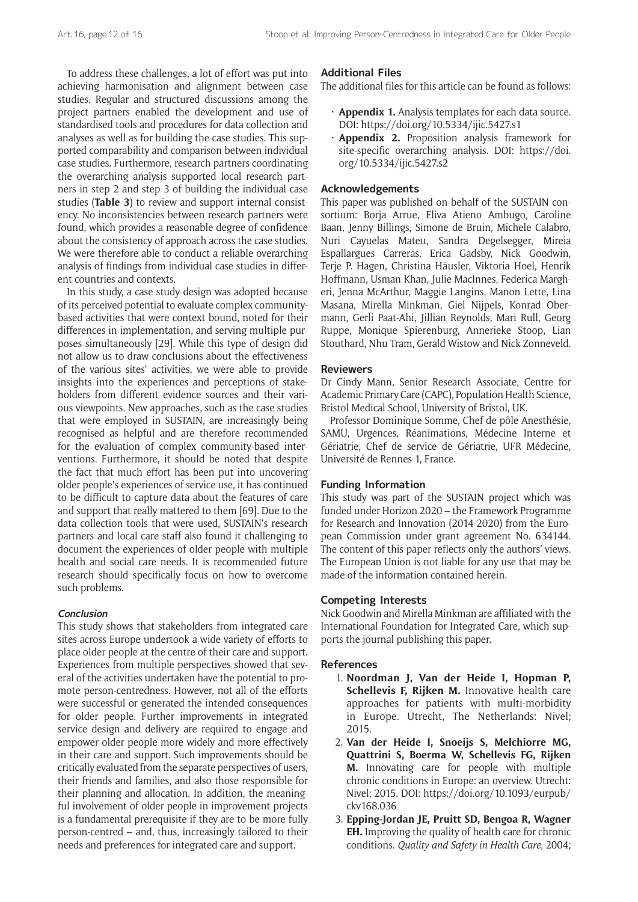To address these challenges, a lot of effort was put into achieving harmonisation and alignment between case studies. Regular and structured discussions among the project partners enabled the development and use of standardised tools and procedures for data collection and analyses as well as for building the case studies. This supported comparability and comparison between individual case studies. Furthermore, research partners coordinating the overarching analysis supported local research partners in step 2 and step 3 of building the individual case studies (**Table 3**) to review and support internal consistency. No inconsistencies between research partners were found, which provides a reasonable degree of confidence about the consistency of approach across the case studies. We were therefore able to conduct a reliable overarching analysis of findings from individual case studies in different countries and contexts.

In this study, a case study design was adopted because of its perceived potential to evaluate complex communitybased activities that were context bound, noted for their differences in implementation, and serving multiple purposes simultaneously [29]. While this type of design did not allow us to draw conclusions about the effectiveness of the various sites' activities, we were able to provide insights into the experiences and perceptions of stakeholders from different evidence sources and their various viewpoints. New approaches, such as the case studies that were employed in SUSTAIN, are increasingly being recognised as helpful and are therefore recommended for the evaluation of complex community-based interventions. Furthermore, it should be noted that despite the fact that much effort has been put into uncovering older people's experiences of service use, it has continued to be difficult to capture data about the features of care and support that really mattered to them [69]. Due to the data collection tools that were used, SUSTAIN's research partners and local care staff also found it challenging to document the experiences of older people with multiple health and social care needs. It is recommended future research should specifically focus on how to overcome such problems.

#### **Conclusion**

This study shows that stakeholders from integrated care sites across Europe undertook a wide variety of efforts to place older people at the centre of their care and support. Experiences from multiple perspectives showed that several of the activities undertaken have the potential to promote person-centredness. However, not all of the efforts were successful or generated the intended consequences for older people. Further improvements in integrated service design and delivery are required to engage and empower older people more widely and more effectively in their care and support. Such improvements should be critically evaluated from the separate perspectives of users, their friends and families, and also those responsible for their planning and allocation. In addition, the meaningful involvement of older people in improvement projects is a fundamental prerequisite if they are to be more fully person-centred – and, thus, increasingly tailored to their needs and preferences for integrated care and support.

## **Additional Files**

The additional files for this article can be found as follows:

- **Appendix 1.** Analysis templates for each data source. DOI: <https://doi.org/10.5334/ijic.5427.s1>
- • **Appendix 2.** Proposition analysis framework for site-specific overarching analysis. DOI: [https://doi.](https://doi.org/10.5334/ijic.5427.s2) [org/10.5334/ijic.5427.s2](https://doi.org/10.5334/ijic.5427.s2)

#### **Acknowledgements**

This paper was published on behalf of the SUSTAIN consortium: Borja Arrue, Eliva Atieno Ambugo, Caroline Baan, Jenny Billings, Simone de Bruin, Michele Calabro, Nuri Cayuelas Mateu, Sandra Degelsegger, Mireia Espallargues Carreras, Erica Gadsby, Nick Goodwin, Terje P. Hagen, Christina Häusler, Viktoria Hoel, Henrik Hoffmann, Usman Khan, Julie MacInnes, Federica Margheri, Jenna McArthur, Maggie Langins, Manon Lette, Lina Masana, Mirella Minkman, Giel Nijpels, Konrad Obermann, Gerli Paat-Ahi, Jillian Reynolds, Mari Rull, Georg Ruppe, Monique Spierenburg, Annerieke Stoop, Lian Stouthard, Nhu Tram, Gerald Wistow and Nick Zonneveld.

#### **Reviewers**

Dr Cindy Mann, Senior Research Associate, Centre for Academic Primary Care (CAPC), Population Health Science, Bristol Medical School, University of Bristol, UK.

Professor Dominique Somme, Chef de pôle Anesthésie, SAMU, Urgences, Réanimations, Médecine Interne et Gériatrie, Chef de service de Gériatrie, UFR Médecine, Université de Rennes 1, France.

### **Funding Information**

This study was part of the SUSTAIN project which was funded under Horizon 2020 – the Framework Programme for Research and Innovation (2014-2020) from the European Commission under grant agreement No. 634144. The content of this paper reflects only the authors' views. The European Union is not liable for any use that may be made of the information contained herein.

#### **Competing Interests**

Nick Goodwin and Mirella Minkman are affiliated with the International Foundation for Integrated Care, which supports the journal publishing this paper.

#### **References**

- 1. **Noordman J, Van der Heide I, Hopman P, Schellevis F, Rijken M.** Innovative health care approaches for patients with multi-morbidity in Europe. Utrecht, The Netherlands: Nivel; 2015.
- 2. **Van der Heide I, Snoeijs S, Melchiorre MG, Quattrini S, Boerma W, Schellevis FG, Rijken M.** Innovating care for people with multiple chronic conditions in Europe: an overview. Utrecht: Nivel; 2015. DOI: [https://doi.org/10.1093/eurpub/](https://doi.org/10.1093/eurpub/ckv168.036) [ckv168.036](https://doi.org/10.1093/eurpub/ckv168.036)
- 3. **Epping-Jordan JE, Pruitt SD, Bengoa R, Wagner EH.** Improving the quality of health care for chronic conditions. *Quality and Safety in Health Care*, 2004;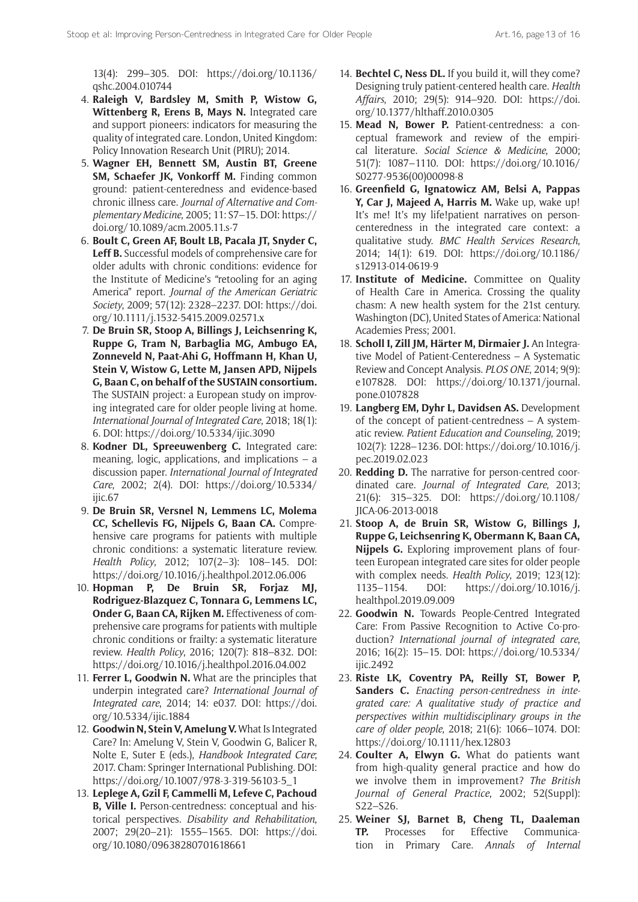13(4): 299–305. DOI: [https://doi.org/10.1136/](https://doi.org/10.1136/qshc.2004.010744) [qshc.2004.010744](https://doi.org/10.1136/qshc.2004.010744)

- 4. **Raleigh V, Bardsley M, Smith P, Wistow G, Wittenberg R, Erens B, Mays N.** Integrated care and support pioneers: indicators for measuring the quality of integrated care. London, United Kingdom: Policy Innovation Research Unit (PIRU); 2014.
- 5. **Wagner EH, Bennett SM, Austin BT, Greene SM, Schaefer JK, Vonkorff M.** Finding common ground: patient-centeredness and evidence-based chronic illness care. *Journal of Alternative and Complementary Medicine*, 2005; 11: S7–15. DOI: [https://](https://doi.org/10.1089/acm.2005.11.s-7) [doi.org/10.1089/acm.2005.11.s-7](https://doi.org/10.1089/acm.2005.11.s-7)
- 6. **Boult C, Green AF, Boult LB, Pacala JT, Snyder C, Leff B.** Successful models of comprehensive care for older adults with chronic conditions: evidence for the Institute of Medicine's "retooling for an aging America" report. *Journal of the American Geriatric Society*, 2009; 57(12): 2328–2237. DOI: [https://doi.](https://doi.org/10.1111/j.1532-5415.2009.02571.x) [org/10.1111/j.1532-5415.2009.02571.x](https://doi.org/10.1111/j.1532-5415.2009.02571.x)
- 7. **De Bruin SR, Stoop A, Billings J, Leichsenring K, Ruppe G, Tram N, Barbaglia MG, Ambugo EA, Zonneveld N, Paat-Ahi G, Hoffmann H, Khan U, Stein V, Wistow G, Lette M, Jansen APD, Nijpels G, Baan C, on behalf of the SUSTAIN consortium.** The SUSTAIN project: a European study on improving integrated care for older people living at home. *International Journal of Integrated Care*, 2018; 18(1): 6. DOI: <https://doi.org/10.5334/ijic.3090>
- 8. **Kodner DL, Spreeuwenberg C.** Integrated care: meaning, logic, applications, and implications  $-$  a discussion paper. *International Journal of Integrated Care*, 2002; 2(4). DOI: [https://doi.org/10.5334/](https://doi.org/10.5334/ijic.67) [ijic.67](https://doi.org/10.5334/ijic.67)
- 9. **De Bruin SR, Versnel N, Lemmens LC, Molema CC, Schellevis FG, Nijpels G, Baan CA.** Comprehensive care programs for patients with multiple chronic conditions: a systematic literature review. *Health Policy*, 2012; 107(2–3): 108–145. DOI: <https://doi.org/10.1016/j.healthpol.2012.06.006>
- 10. **Hopman P, De Bruin SR, Forjaz MJ, Rodriguez-Blazquez C, Tonnara G, Lemmens LC, Onder G, Baan CA, Rijken M.** Effectiveness of comprehensive care programs for patients with multiple chronic conditions or frailty: a systematic literature review. *Health Policy*, 2016; 120(7): 818–832. DOI: <https://doi.org/10.1016/j.healthpol.2016.04.002>
- 11. **Ferrer L, Goodwin N.** What are the principles that underpin integrated care? *International Journal of Integrated care*, 2014; 14: e037. DOI: [https://doi.](https://doi.org/10.5334/ijic.1884) [org/10.5334/ijic.1884](https://doi.org/10.5334/ijic.1884)
- 12. **Goodwin N, Stein V, Amelung V.** What Is Integrated Care? In: Amelung V, Stein V, Goodwin G, Balicer R, Nolte E, Suter E (eds.), *Handbook Integrated Care*; 2017. Cham: Springer International Publishing. DOI: [https://doi.org/10.1007/978-3-319-56103-5\\_1](https://doi.org/10.1007/978-3-319-56103-5_1)
- 13. **Leplege A, Gzil F, Cammelli M, Lefeve C, Pachoud B, Ville I.** Person-centredness: conceptual and historical perspectives. *Disability and Rehabilitation*, 2007; 29(20–21): 1555–1565. DOI: [https://doi.](https://doi.org/10.1080/09638280701618661) [org/10.1080/09638280701618661](https://doi.org/10.1080/09638280701618661)
- 14. **Bechtel C, Ness DL.** If you build it, will they come? Designing truly patient-centered health care. *Health Affairs*, 2010; 29(5): 914–920. DOI: [https://doi.](https://doi.org/10.1377/hlthaff.2010.0305) [org/10.1377/hlthaff.2010.0305](https://doi.org/10.1377/hlthaff.2010.0305)
- 15. **Mead N, Bower P.** Patient-centredness: a conceptual framework and review of the empirical literature. *Social Science & Medicine*, 2000; 51(7): 1087–1110. DOI: [https://doi.org/10.1016/](https://doi.org/10.1016/S0277-9536(00)00098-8) [S0277-9536\(00\)00098-8](https://doi.org/10.1016/S0277-9536(00)00098-8)
- 16. **Greenfield G, Ignatowicz AM, Belsi A, Pappas Y, Car J, Majeed A, Harris M.** Wake up, wake up! It's me! It's my life!patient narratives on personcenteredness in the integrated care context: a qualitative study. *BMC Health Services Research*, 2014; 14(1): 619. DOI: [https://doi.org/10.1186/](https://doi.org/10.1186/s12913-014-0619-9) [s12913-014-0619-9](https://doi.org/10.1186/s12913-014-0619-9)
- 17. **Institute of Medicine.** Committee on Quality of Health Care in America. Crossing the quality chasm: A new health system for the 21st century. Washington (DC), United States of America: National Academies Press; 2001.
- 18. **Scholl I, Zill JM, Härter M, Dirmaier J.** An Integrative Model of Patient-Centeredness – A Systematic Review and Concept Analysis. *PLOS ONE*, 2014; 9(9): e107828. DOI: [https://doi.org/10.1371/journal.](https://doi.org/10.1371/journal.pone.0107828) [pone.0107828](https://doi.org/10.1371/journal.pone.0107828)
- 19. **Langberg EM, Dyhr L, Davidsen AS.** Development of the concept of patient-centredness – A systematic review. *Patient Education and Counseling*, 2019; 102(7): 1228–1236. DOI: [https://doi.org/10.1016/j.](https://doi.org/10.1016/j.pec.2019.02.023) [pec.2019.02.023](https://doi.org/10.1016/j.pec.2019.02.023)
- 20. **Redding D.** The narrative for person-centred coordinated care. *Journal of Integrated Care*, 2013; 21(6): 315–325. DOI: [https://doi.org/10.1108/](https://doi.org/10.1108/JICA-06-2013-0018) [JICA-06-2013-0018](https://doi.org/10.1108/JICA-06-2013-0018)
- 21. **Stoop A, de Bruin SR, Wistow G, Billings J, Ruppe G, Leichsenring K, Obermann K, Baan CA, Nijpels G.** Exploring improvement plans of fourteen European integrated care sites for older people with complex needs. *Health Policy*, 2019; 123(12): 1135–1154. DOI: [https://doi.org/10.1016/j.](https://doi.org/10.1016/j.healthpol.2019.09.009) [healthpol.2019.09.009](https://doi.org/10.1016/j.healthpol.2019.09.009)
- 22. **Goodwin N.** Towards People-Centred Integrated Care: From Passive Recognition to Active Co-production? *International journal of integrated care*, 2016; 16(2): 15–15. DOI: [https://doi.org/10.5334/](https://doi.org/10.5334/ijic.2492) iiic.2492
- 23. **Riste LK, Coventry PA, Reilly ST, Bower P, Sanders C.** *Enacting person-centredness in integrated care: A qualitative study of practice and perspectives within multidisciplinary groups in the care of older people*, 2018; 21(6): 1066–1074. DOI: <https://doi.org/10.1111/hex.12803>
- 24. **Coulter A, Elwyn G.** What do patients want from high-quality general practice and how do we involve them in improvement? *The British Journal of General Practice*, 2002; 52(Suppl): S22–S26.
- 25. **Weiner SJ, Barnet B, Cheng TL, Daaleman TP.** Processes for Effective Communication in Primary Care. *Annals of Internal*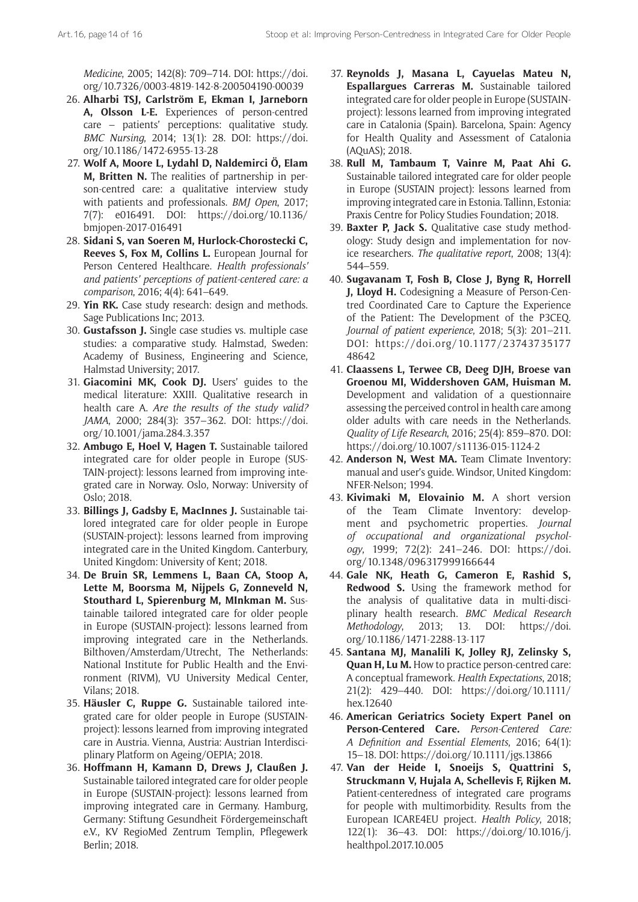*Medicine*, 2005; 142(8): 709–714. DOI: [https://doi.](https://doi.org/10.7326/0003-4819-142-8-200504190-00039) [org/10.7326/0003-4819-142-8-200504190-00039](https://doi.org/10.7326/0003-4819-142-8-200504190-00039)

- 26. **Alharbi TSJ, Carlström E, Ekman I, Jarneborn A, Olsson L-E.** Experiences of person-centred care – patients' perceptions: qualitative study. *BMC Nursing*, 2014; 13(1): 28. DOI: [https://doi.](https://doi.org/10.1186/1472-6955-13-28) [org/10.1186/1472-6955-13-28](https://doi.org/10.1186/1472-6955-13-28)
- 27. **Wolf A, Moore L, Lydahl D, Naldemirci Ö, Elam M, Britten N.** The realities of partnership in person-centred care: a qualitative interview study with patients and professionals. *BMJ Open*, 2017; 7(7): e016491. DOI: [https://doi.org/10.1136/](https://doi.org/10.1136/bmjopen-2017-016491) [bmjopen-2017-016491](https://doi.org/10.1136/bmjopen-2017-016491)
- 28. **Sidani S, van Soeren M, Hurlock-Chorostecki C, Reeves S, Fox M, Collins L.** European Journal for Person Centered Healthcare. *Health professionals' and patients' perceptions of patient-centered care: a comparison*, 2016; 4(4): 641–649.
- 29. **Yin RK.** Case study research: design and methods. Sage Publications Inc; 2013.
- 30. **Gustafsson J.** Single case studies vs. multiple case studies: a comparative study. Halmstad, Sweden: Academy of Business, Engineering and Science, Halmstad University; 2017.
- 31. **Giacomini MK, Cook DJ.** Users' guides to the medical literature: XXIII. Qualitative research in health care A. *Are the results of the study valid? JAMA*, 2000; 284(3): 357–362. DOI: [https://doi.](https://doi.org/10.1001/jama.284.3.357) [org/10.1001/jama.284.3.357](https://doi.org/10.1001/jama.284.3.357)
- 32. **Ambugo E, Hoel V, Hagen T.** Sustainable tailored integrated care for older people in Europe (SUS-TAIN-project): lessons learned from improving integrated care in Norway. Oslo, Norway: University of Oslo; 2018.
- 33. **Billings J, Gadsby E, MacInnes J.** Sustainable tailored integrated care for older people in Europe (SUSTAIN-project): lessons learned from improving integrated care in the United Kingdom. Canterbury, United Kingdom: University of Kent; 2018.
- 34. **De Bruin SR, Lemmens L, Baan CA, Stoop A, Lette M, Boorsma M, Nijpels G, Zonneveld N, Stouthard L, Spierenburg M, MInkman M.** Sustainable tailored integrated care for older people in Europe (SUSTAIN-project): lessons learned from improving integrated care in the Netherlands. Bilthoven/Amsterdam/Utrecht, The Netherlands: National Institute for Public Health and the Environment (RIVM), VU University Medical Center, Vilans; 2018.
- 35. **Häusler C, Ruppe G.** Sustainable tailored integrated care for older people in Europe (SUSTAINproject): lessons learned from improving integrated care in Austria. Vienna, Austria: Austrian Interdisciplinary Platform on Ageing/OEPIA; 2018.
- 36. **Hoffmann H, Kamann D, Drews J, Claußen J.** Sustainable tailored integrated care for older people in Europe (SUSTAIN-project): lessons learned from improving integrated care in Germany. Hamburg, Germany: Stiftung Gesundheit Fördergemeinschaft e.V., KV RegioMed Zentrum Templin, Pflegewerk Berlin; 2018.
- 37. **Reynolds J, Masana L, Cayuelas Mateu N, Espallargues Carreras M.** Sustainable tailored integrated care for older people in Europe (SUSTAINproject): lessons learned from improving integrated care in Catalonia (Spain). Barcelona, Spain: Agency for Health Quality and Assessment of Catalonia (AQuAS); 2018.
- 38. **Rull M, Tambaum T, Vainre M, Paat Ahi G.** Sustainable tailored integrated care for older people in Europe (SUSTAIN project): lessons learned from improving integrated care in Estonia. Tallinn, Estonia: Praxis Centre for Policy Studies Foundation; 2018.
- 39. **Baxter P, Jack S.** Qualitative case study methodology: Study design and implementation for novice researchers. *The qualitative report*, 2008; 13(4): 544–559.
- 40. **Sugavanam T, Fosh B, Close J, Byng R, Horrell J, Lloyd H.** Codesigning a Measure of Person-Centred Coordinated Care to Capture the Experience of the Patient: The Development of the P3CEQ. *Journal of patient experience*, 2018; 5(3): 201–211. DOI: [https://doi.org/10.1177/23743735177](https://doi.org/10.1177/2374373517748642) [48642](https://doi.org/10.1177/2374373517748642)
- 41. **Claassens L, Terwee CB, Deeg DJH, Broese van Groenou MI, Widdershoven GAM, Huisman M.** Development and validation of a questionnaire assessing the perceived control in health care among older adults with care needs in the Netherlands. *Quality of Life Research*, 2016; 25(4): 859–870. DOI: <https://doi.org/10.1007/s11136-015-1124-2>
- 42. **Anderson N, West MA.** Team Climate Inventory: manual and user's guide. Windsor, United Kingdom: NFER-Nelson; 1994.
- 43. **Kivimaki M, Elovainio M.** A short version of the Team Climate Inventory: development and psychometric properties. *Journal of occupational and organizational psychology*, 1999; 72(2): 241–246. DOI: [https://doi.](https://doi.org/10.1348/096317999166644) [org/10.1348/096317999166644](https://doi.org/10.1348/096317999166644)
- 44. **Gale NK, Heath G, Cameron E, Rashid S, Redwood S.** Using the framework method for the analysis of qualitative data in multi-disciplinary health research. *BMC Medical Research Methodology*, 2013; 13. DOI: [https://doi.](https://doi.org/10.1186/1471-2288-13-117) [org/10.1186/1471-2288-13-117](https://doi.org/10.1186/1471-2288-13-117)
- 45. **Santana MJ, Manalili K, Jolley RJ, Zelinsky S, Quan H, Lu M.** How to practice person-centred care: A conceptual framework. *Health Expectations*, 2018; 21(2): 429–440. DOI: [https://doi.org/10.1111/](https://doi.org/10.1111/hex.12640) [hex.12640](https://doi.org/10.1111/hex.12640)
- 46. **American Geriatrics Society Expert Panel on Person-Centered Care.** *Person-Centered Care: A Definition and Essential Elements*, 2016; 64(1): 15–18. DOI:<https://doi.org/10.1111/jgs.13866>
- 47. **Van der Heide I, Snoeijs S, Quattrini S, Struckmann V, Hujala A, Schellevis F, Rijken M.**  Patient-centeredness of integrated care programs for people with multimorbidity. Results from the European ICARE4EU project. *Health Policy*, 2018; 122(1): 36–43. DOI: [https://doi.org/10.1016/j.](https://doi.org/10.1016/j.healthpol.2017.10.005) [healthpol.2017.10.005](https://doi.org/10.1016/j.healthpol.2017.10.005)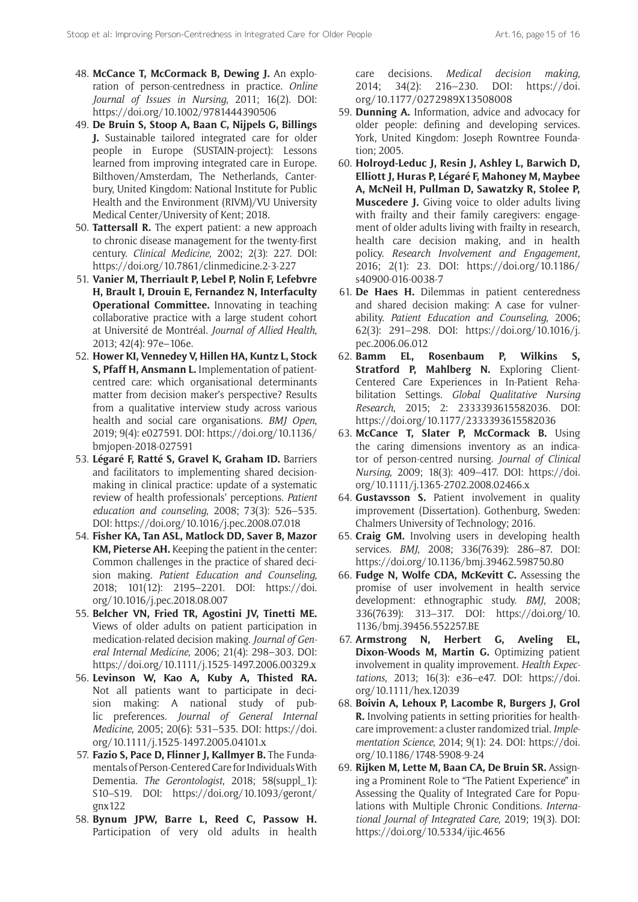- 48. **McCance T, McCormack B, Dewing J.** An exploration of person-centredness in practice. *Online Journal of Issues in Nursing*, 2011; 16(2). DOI: <https://doi.org/10.1002/9781444390506>
- 49. **De Bruin S, Stoop A, Baan C, Nijpels G, Billings J.** Sustainable tailored integrated care for older people in Europe (SUSTAIN-project): Lessons learned from improving integrated care in Europe. Bilthoven/Amsterdam, The Netherlands, Canterbury, United Kingdom: National Institute for Public Health and the Environment (RIVM)/VU University Medical Center/University of Kent; 2018.
- 50. **Tattersall R.** The expert patient: a new approach to chronic disease management for the twenty-first century. *Clinical Medicine*, 2002; 2(3): 227. DOI: <https://doi.org/10.7861/clinmedicine.2-3-227>
- 51. **Vanier M, Therriault P, Lebel P, Nolin F, Lefebvre H, Brault I, Drouin E, Fernandez N, Interfaculty Operational Committee.** Innovating in teaching collaborative practice with a large student cohort at Université de Montréal. *Journal of Allied Health*, 2013; 42(4): 97e–106e.
- 52. **Hower KI, Vennedey V, Hillen HA, Kuntz L, Stock S, Pfaff H, Ansmann L.** Implementation of patientcentred care: which organisational determinants matter from decision maker's perspective? Results from a qualitative interview study across various health and social care organisations. *BMJ Open*, 2019; 9(4): e027591. DOI: [https://doi.org/10.1136/](https://doi.org/10.1136/bmjopen-2018-027591) [bmjopen-2018-027591](https://doi.org/10.1136/bmjopen-2018-027591)
- 53. **Légaré F, Ratté S, Gravel K, Graham ID.** Barriers and facilitators to implementing shared decisionmaking in clinical practice: update of a systematic review of health professionals' perceptions. *Patient education and counseling*, 2008; 73(3): 526–535. DOI:<https://doi.org/10.1016/j.pec.2008.07.018>
- 54. **Fisher KA, Tan ASL, Matlock DD, Saver B, Mazor KM, Pieterse AH.** Keeping the patient in the center: Common challenges in the practice of shared decision making. *Patient Education and Counseling*, 2018; 101(12): 2195–2201. DOI: [https://doi.](https://doi.org/10.1016/j.pec.2018.08.007) [org/10.1016/j.pec.2018.08.007](https://doi.org/10.1016/j.pec.2018.08.007)
- 55. **Belcher VN, Fried TR, Agostini JV, Tinetti ME.** Views of older adults on patient participation in medication-related decision making. *Journal of General Internal Medicine*, 2006; 21(4): 298–303. DOI: <https://doi.org/10.1111/j.1525-1497.2006.00329.x>
- 56. **Levinson W, Kao A, Kuby A, Thisted RA.** Not all patients want to participate in decision making: A national study of public preferences. *Journal of General Internal Medicine*, 2005; 20(6): 531–535. DOI: [https://doi.](https://doi.org/10.1111/j.1525-1497.2005.04101.x) [org/10.1111/j.1525-1497.2005.04101.x](https://doi.org/10.1111/j.1525-1497.2005.04101.x)
- 57. **Fazio S, Pace D, Flinner J, Kallmyer B.** The Fundamentals of Person-Centered Care for Individuals With Dementia. *The Gerontologist*, 2018; 58(suppl\_1): S10–S19. DOI: [https://doi.org/10.1093/geront/](https://doi.org/10.1093/geront/gnx122) [gnx122](https://doi.org/10.1093/geront/gnx122)
- 58. **Bynum JPW, Barre L, Reed C, Passow H.** Participation of very old adults in health

care decisions. *Medical decision making*, 2014; 34(2): 216–230. DOI: [https://doi.](https://doi.org/10.1177/0272989X13508008) [org/10.1177/0272989X13508008](https://doi.org/10.1177/0272989X13508008)

- 59. **Dunning A.** Information, advice and advocacy for older people: defining and developing services. York, United Kingdom: Joseph Rowntree Foundation; 2005.
- 60. **Holroyd-Leduc J, Resin J, Ashley L, Barwich D, Elliott J, Huras P, Légaré F, Mahoney M, Maybee A, McNeil H, Pullman D, Sawatzky R, Stolee P, Muscedere J.** Giving voice to older adults living with frailty and their family caregivers: engagement of older adults living with frailty in research, health care decision making, and in health policy. *Research Involvement and Engagement*, 2016; 2(1): 23. DOI: [https://doi.org/10.1186/](https://doi.org/10.1186/s40900-016-0038-7) [s40900-016-0038-7](https://doi.org/10.1186/s40900-016-0038-7)
- 61. **De Haes H.** Dilemmas in patient centeredness and shared decision making: A case for vulnerability. *Patient Education and Counseling*, 2006; 62(3): 291–298. DOI: [https://doi.org/10.1016/j.](https://doi.org/10.1016/j.pec.2006.06.012) [pec.2006.06.012](https://doi.org/10.1016/j.pec.2006.06.012)
- 62. **Bamm EL, Rosenbaum P, Wilkins S, Stratford P, Mahlberg N.** Exploring Client-Centered Care Experiences in In-Patient Rehabilitation Settings. *Global Qualitative Nursing Research*, 2015; 2: 2333393615582036. DOI: <https://doi.org/10.1177/2333393615582036>
- 63. **McCance T, Slater P, McCormack B.** Using the caring dimensions inventory as an indicator of person-centred nursing. *Journal of Clinical Nursing*, 2009; 18(3): 409–417. DOI: [https://doi.](https://doi.org/10.1111/j.1365-2702.2008.02466.x) [org/10.1111/j.1365-2702.2008.02466.x](https://doi.org/10.1111/j.1365-2702.2008.02466.x)
- 64. **Gustavsson S.** Patient involvement in quality improvement (Dissertation). Gothenburg, Sweden: Chalmers University of Technology; 2016.
- 65. **Craig GM.** Involving users in developing health services. *BMJ*, 2008; 336(7639): 286–87. DOI: <https://doi.org/10.1136/bmj.39462.598750.80>
- 66. **Fudge N, Wolfe CDA, McKevitt C.** Assessing the promise of user involvement in health service development: ethnographic study. *BMJ*, 2008; 336(7639): 313–317. DOI: [https://doi.org/10.](https://doi.org/10.1136/bmj.39456.552257.BE) [1136/bmj.39456.552257.BE](https://doi.org/10.1136/bmj.39456.552257.BE)
- 67. **Armstrong N, Herbert G, Aveling EL, Dixon**‐**Woods M, Martin G.** Optimizing patient involvement in quality improvement. *Health Expectations*, 2013; 16(3): e36–e47. DOI: [https://doi.](https://doi.org/10.1111/hex.12039) [org/10.1111/hex.12039](https://doi.org/10.1111/hex.12039)
- 68. **Boivin A, Lehoux P, Lacombe R, Burgers J, Grol R.** Involving patients in setting priorities for healthcare improvement: a cluster randomized trial. *Implementation Science*, 2014; 9(1): 24. DOI: [https://doi.](https://doi.org/10.1186/1748-5908-9-24) [org/10.1186/1748-5908-9-24](https://doi.org/10.1186/1748-5908-9-24)
- 69. **Rijken M, Lette M, Baan CA, De Bruin SR.** Assigning a Prominent Role to "The Patient Experience" in Assessing the Quality of Integrated Care for Populations with Multiple Chronic Conditions. *International Journal of Integrated Care*, 2019; 19(3). DOI: <https://doi.org/10.5334/ijic.4656>